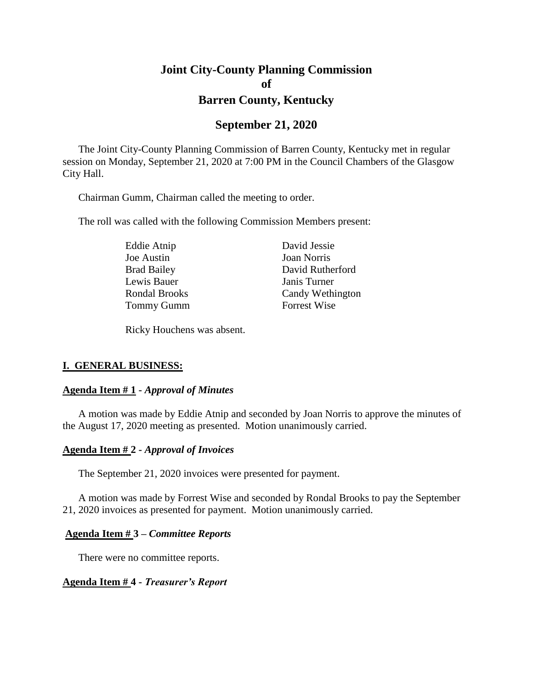# **Joint City-County Planning Commission of Barren County, Kentucky**

## **September 21, 2020**

The Joint City-County Planning Commission of Barren County, Kentucky met in regular session on Monday, September 21, 2020 at 7:00 PM in the Council Chambers of the Glasgow City Hall.

Chairman Gumm, Chairman called the meeting to order.

The roll was called with the following Commission Members present:

Eddie Atnip David Jessie Joe Austin Joan Norris Lewis Bauer Janis Turner Tommy Gumm Forrest Wise

Brad Bailey David Rutherford Rondal Brooks Candy Wethington

Ricky Houchens was absent.

#### **I. GENERAL BUSINESS:**

#### **Agenda Item # 1 -** *Approval of Minutes*

A motion was made by Eddie Atnip and seconded by Joan Norris to approve the minutes of the August 17, 2020 meeting as presented. Motion unanimously carried.

#### **Agenda Item # 2 -** *Approval of Invoices*

The September 21, 2020 invoices were presented for payment.

A motion was made by Forrest Wise and seconded by Rondal Brooks to pay the September 21, 2020 invoices as presented for payment. Motion unanimously carried.

#### **Agenda Item # 3 –** *Committee Reports*

There were no committee reports.

#### **Agenda Item # 4 -** *Treasurer's Report*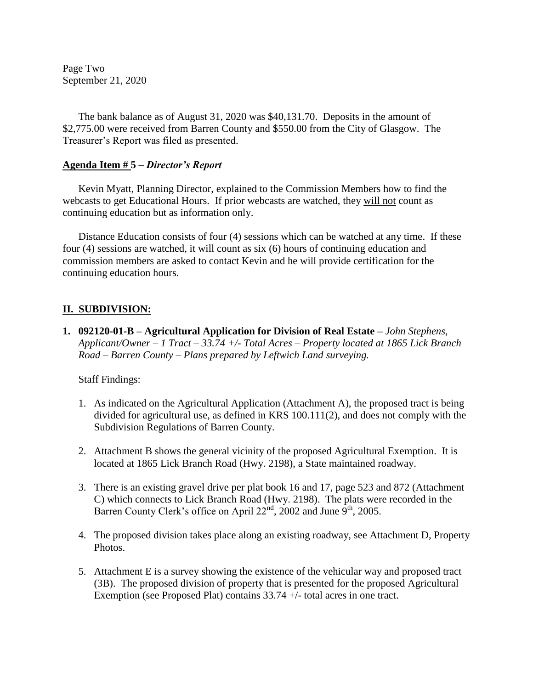Page Two September 21, 2020

The bank balance as of August 31, 2020 was \$40,131.70. Deposits in the amount of \$2,775.00 were received from Barren County and \$550.00 from the City of Glasgow. The Treasurer's Report was filed as presented.

#### **Agenda Item # 5 –** *Director's Report*

Kevin Myatt, Planning Director, explained to the Commission Members how to find the webcasts to get Educational Hours. If prior webcasts are watched, they will not count as continuing education but as information only.

Distance Education consists of four (4) sessions which can be watched at any time. If these four (4) sessions are watched, it will count as six (6) hours of continuing education and commission members are asked to contact Kevin and he will provide certification for the continuing education hours.

### **II. SUBDIVISION:**

**1. 092120-01-B – Agricultural Application for Division of Real Estate** *– John Stephens, Applicant/Owner – 1 Tract – 33.74 +/- Total Acres – Property located at 1865 Lick Branch Road – Barren County – Plans prepared by Leftwich Land surveying.*

#### Staff Findings:

- 1. As indicated on the Agricultural Application (Attachment A), the proposed tract is being divided for agricultural use, as defined in KRS 100.111(2), and does not comply with the Subdivision Regulations of Barren County.
- 2. Attachment B shows the general vicinity of the proposed Agricultural Exemption. It is located at 1865 Lick Branch Road (Hwy. 2198), a State maintained roadway.
- 3. There is an existing gravel drive per plat book 16 and 17, page 523 and 872 (Attachment C) which connects to Lick Branch Road (Hwy. 2198). The plats were recorded in the Barren County Clerk's office on April  $22<sup>nd</sup>$ , 2002 and June 9<sup>th</sup>, 2005.
- 4. The proposed division takes place along an existing roadway, see Attachment D, Property Photos.
- 5. Attachment E is a survey showing the existence of the vehicular way and proposed tract (3B). The proposed division of property that is presented for the proposed Agricultural Exemption (see Proposed Plat) contains 33.74 +/- total acres in one tract.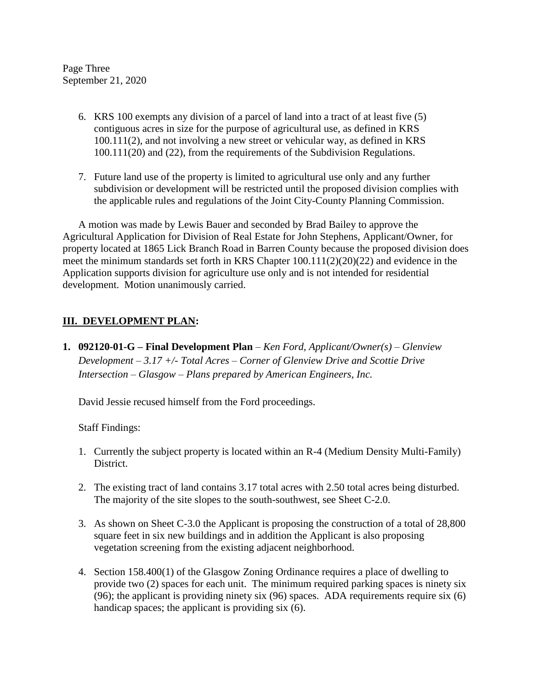Page Three September 21, 2020

- 6. KRS 100 exempts any division of a parcel of land into a tract of at least five (5) contiguous acres in size for the purpose of agricultural use, as defined in KRS 100.111(2), and not involving a new street or vehicular way, as defined in KRS 100.111(20) and (22), from the requirements of the Subdivision Regulations.
- 7. Future land use of the property is limited to agricultural use only and any further subdivision or development will be restricted until the proposed division complies with the applicable rules and regulations of the Joint City-County Planning Commission.

A motion was made by Lewis Bauer and seconded by Brad Bailey to approve the Agricultural Application for Division of Real Estate for John Stephens, Applicant/Owner, for property located at 1865 Lick Branch Road in Barren County because the proposed division does meet the minimum standards set forth in KRS Chapter 100.111(2)(20)(22) and evidence in the Application supports division for agriculture use only and is not intended for residential development. Motion unanimously carried.

### **III. DEVELOPMENT PLAN:**

**1. 092120-01-G – Final Development Plan** *– Ken Ford, Applicant/Owner(s) – Glenview Development – 3.17 +/- Total Acres – Corner of Glenview Drive and Scottie Drive Intersection – Glasgow – Plans prepared by American Engineers, Inc.*

David Jessie recused himself from the Ford proceedings.

Staff Findings:

- 1. Currently the subject property is located within an R-4 (Medium Density Multi-Family) District.
- 2. The existing tract of land contains 3.17 total acres with 2.50 total acres being disturbed. The majority of the site slopes to the south-southwest, see Sheet C-2.0.
- 3. As shown on Sheet C-3.0 the Applicant is proposing the construction of a total of 28,800 square feet in six new buildings and in addition the Applicant is also proposing vegetation screening from the existing adjacent neighborhood.
- 4. Section 158.400(1) of the Glasgow Zoning Ordinance requires a place of dwelling to provide two (2) spaces for each unit. The minimum required parking spaces is ninety six (96); the applicant is providing ninety six (96) spaces. ADA requirements require six (6) handicap spaces; the applicant is providing six (6).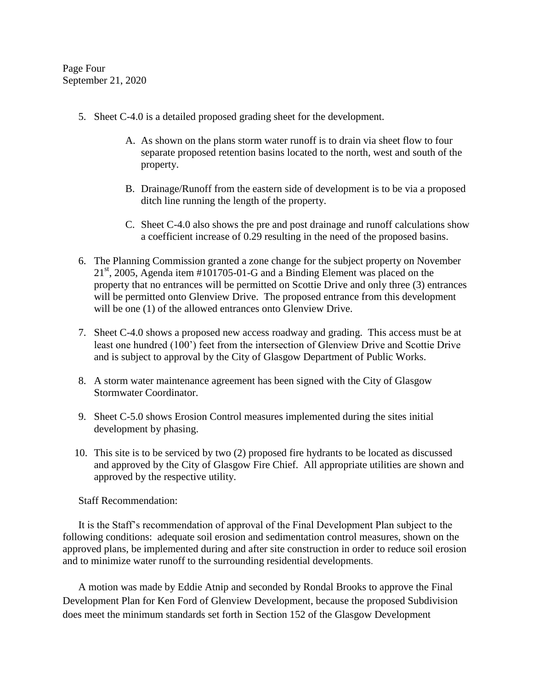Page Four September 21, 2020

- 5. Sheet C-4.0 is a detailed proposed grading sheet for the development.
	- A. As shown on the plans storm water runoff is to drain via sheet flow to four separate proposed retention basins located to the north, west and south of the property.
	- B. Drainage/Runoff from the eastern side of development is to be via a proposed ditch line running the length of the property.
	- C. Sheet C-4.0 also shows the pre and post drainage and runoff calculations show a coefficient increase of 0.29 resulting in the need of the proposed basins.
- 6. The Planning Commission granted a zone change for the subject property on November  $21<sup>st</sup>$ , 2005, Agenda item #101705-01-G and a Binding Element was placed on the property that no entrances will be permitted on Scottie Drive and only three (3) entrances will be permitted onto Glenview Drive. The proposed entrance from this development will be one (1) of the allowed entrances onto Glenview Drive.
- 7. Sheet C-4.0 shows a proposed new access roadway and grading. This access must be at least one hundred (100') feet from the intersection of Glenview Drive and Scottie Drive and is subject to approval by the City of Glasgow Department of Public Works.
- 8. A storm water maintenance agreement has been signed with the City of Glasgow Stormwater Coordinator.
- 9. Sheet C-5.0 shows Erosion Control measures implemented during the sites initial development by phasing.
- 10. This site is to be serviced by two (2) proposed fire hydrants to be located as discussed and approved by the City of Glasgow Fire Chief. All appropriate utilities are shown and approved by the respective utility.

Staff Recommendation:

It is the Staff's recommendation of approval of the Final Development Plan subject to the following conditions: adequate soil erosion and sedimentation control measures, shown on the approved plans, be implemented during and after site construction in order to reduce soil erosion and to minimize water runoff to the surrounding residential developments.

A motion was made by Eddie Atnip and seconded by Rondal Brooks to approve the Final Development Plan for Ken Ford of Glenview Development, because the proposed Subdivision does meet the minimum standards set forth in Section 152 of the Glasgow Development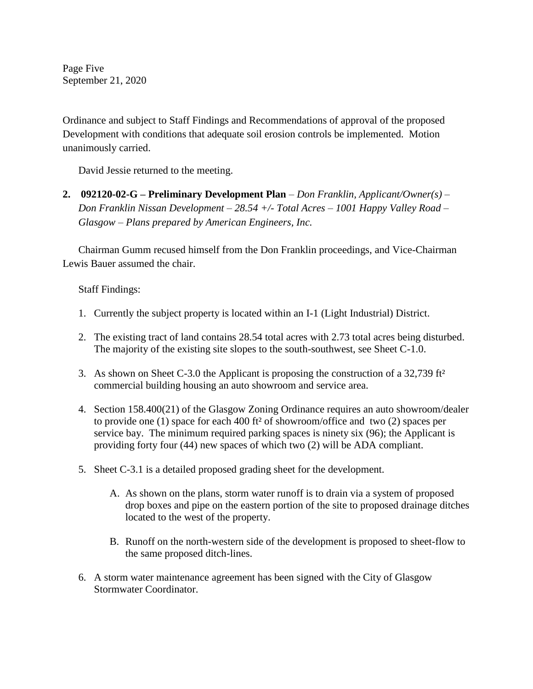Page Five September 21, 2020

Ordinance and subject to Staff Findings and Recommendations of approval of the proposed Development with conditions that adequate soil erosion controls be implemented. Motion unanimously carried.

David Jessie returned to the meeting.

**2. 092120-02-G – Preliminary Development Plan** *– Don Franklin, Applicant/Owner(s) – Don Franklin Nissan Development – 28.54 +/- Total Acres – 1001 Happy Valley Road – Glasgow – Plans prepared by American Engineers, Inc.*

Chairman Gumm recused himself from the Don Franklin proceedings, and Vice-Chairman Lewis Bauer assumed the chair.

Staff Findings:

- 1. Currently the subject property is located within an I-1 (Light Industrial) District.
- 2. The existing tract of land contains 28.54 total acres with 2.73 total acres being disturbed. The majority of the existing site slopes to the south-southwest, see Sheet C-1.0.
- 3. As shown on Sheet C-3.0 the Applicant is proposing the construction of a 32,739 ft² commercial building housing an auto showroom and service area.
- 4. Section 158.400(21) of the Glasgow Zoning Ordinance requires an auto showroom/dealer to provide one (1) space for each 400 ft² of showroom/office and two (2) spaces per service bay. The minimum required parking spaces is ninety six (96); the Applicant is providing forty four (44) new spaces of which two (2) will be ADA compliant.
- 5. Sheet C-3.1 is a detailed proposed grading sheet for the development.
	- A. As shown on the plans, storm water runoff is to drain via a system of proposed drop boxes and pipe on the eastern portion of the site to proposed drainage ditches located to the west of the property.
	- B. Runoff on the north-western side of the development is proposed to sheet-flow to the same proposed ditch-lines.
- 6. A storm water maintenance agreement has been signed with the City of Glasgow Stormwater Coordinator.